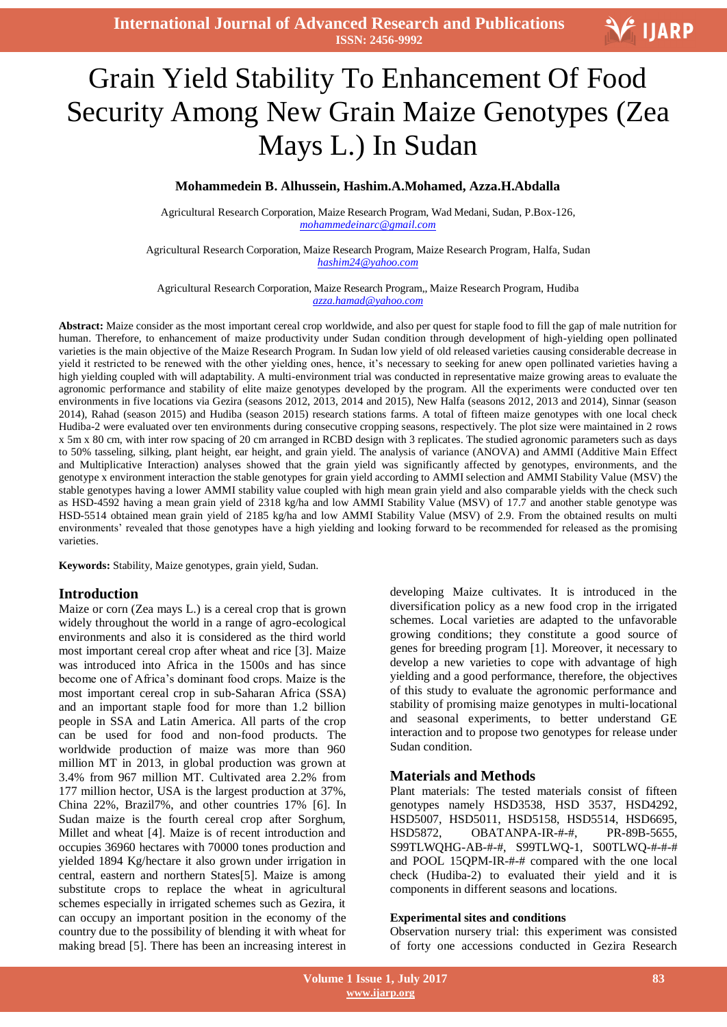

# l<br>I Grain Yield Stability To Enhancement Of Food Security Among New Grain Maize Genotypes (Zea Mays L.) In Sudan

#### **Mohammedein B. Alhussein, Hashim.A.Mohamed, Azza.H.Abdalla**

Agricultural Research Corporation, Maize Research Program, Wad Medani, Sudan, P.Box-126, *mohammedeinarc@gmail.com*

Agricultural Research Corporation, Maize Research Program, Maize Research Program, Halfa, Sudan *hashim24@yahoo.com*

Agricultural Research Corporation, Maize Research Program,, Maize Research Program, Hudiba *azza.hamad@yahoo.com*

**Abstract:** Maize consider as the most important cereal crop worldwide, and also per quest for staple food to fill the gap of male nutrition for human. Therefore, to enhancement of maize productivity under Sudan condition through development of high-yielding open pollinated varieties is the main objective of the Maize Research Program. In Sudan low yield of old released varieties causing considerable decrease in yield it restricted to be renewed with the other yielding ones, hence, it's necessary to seeking for anew open pollinated varieties having a high yielding coupled with will adaptability. A multi-environment trial was conducted in representative maize growing areas to evaluate the agronomic performance and stability of elite maize genotypes developed by the program. All the experiments were conducted over ten environments in five locations via Gezira (seasons 2012, 2013, 2014 and 2015), New Halfa (seasons 2012, 2013 and 2014), Sinnar (season 2014), Rahad (season 2015) and Hudiba (season 2015) research stations farms. A total of fifteen maize genotypes with one local check Hudiba-2 were evaluated over ten environments during consecutive cropping seasons, respectively. The plot size were maintained in 2 rows x 5m x 80 cm, with inter row spacing of 20 cm arranged in RCBD design with 3 replicates. The studied agronomic parameters such as days to 50% tasseling, silking, plant height, ear height, and grain yield. The analysis of variance (ANOVA) and AMMI (Additive Main Effect and Multiplicative Interaction) analyses showed that the grain yield was significantly affected by genotypes, environments, and the genotype x environment interaction the stable genotypes for grain yield according to AMMI selection and AMMI Stability Value (MSV) the stable genotypes having a lower AMMI stability value coupled with high mean grain yield and also comparable yields with the check such as HSD-4592 having a mean grain yield of 2318 kg/ha and low AMMI Stability Value (MSV) of 17.7 and another stable genotype was HSD-5514 obtained mean grain yield of 2185 kg/ha and low AMMI Stability Value (MSV) of 2.9. From the obtained results on multi environments' revealed that those genotypes have a high yielding and looking forward to be recommended for released as the promising varieties.

**Keywords:** Stability, Maize genotypes, grain yield, Sudan.

#### **Introduction**

Maize or corn (Zea mays L.) is a cereal crop that is grown widely throughout the world in a range of agro-ecological environments and also it is considered as the third world most important cereal crop after wheat and rice [3]. Maize was introduced into Africa in the 1500s and has since become one of Africa's dominant food crops. Maize is the most important cereal crop in sub-Saharan Africa (SSA) and an important staple food for more than 1.2 billion people in SSA and Latin America. All parts of the crop can be used for food and non-food products. The worldwide production of maize was more than 960 million MT in 2013, in global production was grown at 3.4% from 967 million MT. Cultivated area 2.2% from 177 million hector, USA is the largest production at 37%, China 22%, Brazil7%, and other countries 17% [6]. In Sudan maize is the fourth cereal crop after Sorghum, Millet and wheat [4]. Maize is of recent introduction and occupies 36960 hectares with 70000 tones production and yielded 1894 Kg/hectare it also grown under irrigation in central, eastern and northern States[5]. Maize is among substitute crops to replace the wheat in agricultural schemes especially in irrigated schemes such as Gezira, it can occupy an important position in the economy of the country due to the possibility of blending it with wheat for making bread [5]. There has been an increasing interest in developing Maize cultivates. It is introduced in the diversification policy as a new food crop in the irrigated schemes. Local varieties are adapted to the unfavorable growing conditions; they constitute a good source of genes for breeding program [1]. Moreover, it necessary to develop a new varieties to cope with advantage of high yielding and a good performance, therefore, the objectives of this study to evaluate the agronomic performance and stability of promising maize genotypes in multi-locational and seasonal experiments, to better understand GE interaction and to propose two genotypes for release under Sudan condition.

# **Materials and Methods**

Plant materials: The tested materials consist of fifteen genotypes namely HSD3538, HSD 3537, HSD4292, HSD5007, HSD5011, HSD5158, HSD5514, HSD6695, HSD5872, OBATANPA-IR-#-#, PR-89B-5655, S99TLWQHG-AB-#-#, S99TLWQ-1, S00TLWQ-#-#-# and POOL 15QPM-IR-#-# compared with the one local check (Hudiba-2) to evaluated their yield and it is components in different seasons and locations.

#### **Experimental sites and conditions**

Observation nursery trial: this experiment was consisted of forty one accessions conducted in Gezira Research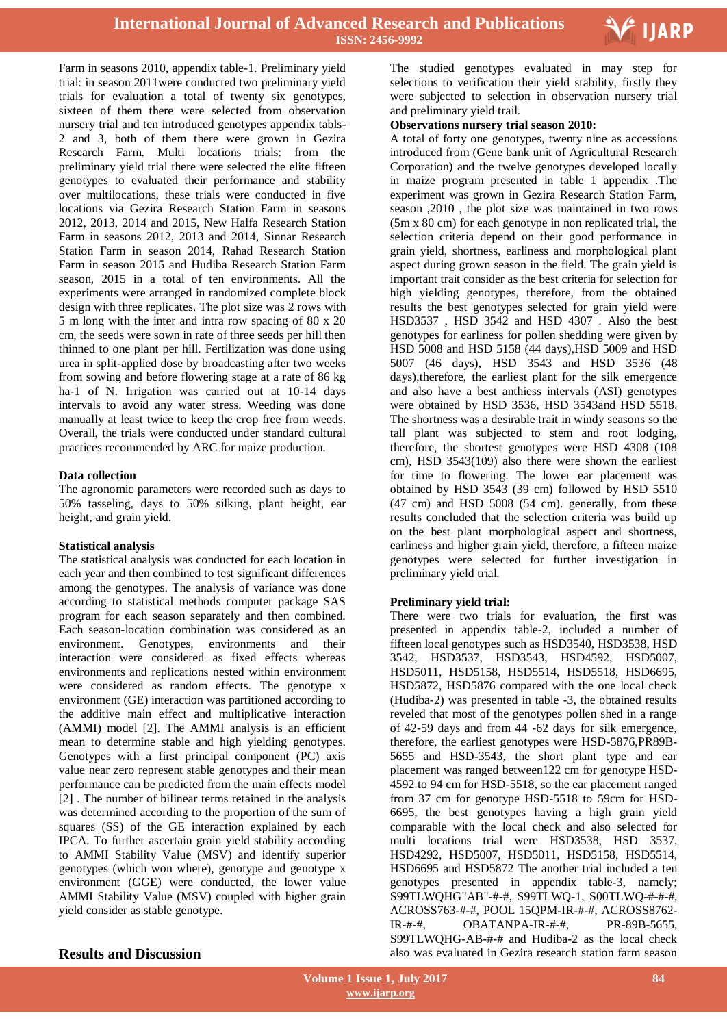

Farm in seasons 2010, appendix table-1. Preliminary yield trial: in season 2011were conducted two preliminary yield trials for evaluation a total of twenty six genotypes, sixteen of them there were selected from observation nursery trial and ten introduced genotypes appendix tabls-2 and 3, both of them there were grown in Gezira Research Farm. Multi locations trials: from the preliminary yield trial there were selected the elite fifteen genotypes to evaluated their performance and stability over multilocations, these trials were conducted in five locations via Gezira Research Station Farm in seasons 2012, 2013, 2014 and 2015, New Halfa Research Station Farm in seasons 2012, 2013 and 2014, Sinnar Research Station Farm in season 2014, Rahad Research Station Farm in season 2015 and Hudiba Research Station Farm season, 2015 in a total of ten environments. All the experiments were arranged in randomized complete block design with three replicates. The plot size was 2 rows with 5 m long with the inter and intra row spacing of 80 x 20 cm, the seeds were sown in rate of three seeds per hill then thinned to one plant per hill. Fertilization was done using urea in split-applied dose by broadcasting after two weeks from sowing and before flowering stage at a rate of 86 kg ha-1 of N. Irrigation was carried out at 10-14 days intervals to avoid any water stress. Weeding was done manually at least twice to keep the crop free from weeds. Overall, the trials were conducted under standard cultural practices recommended by ARC for maize production.

#### **Data collection**

The agronomic parameters were recorded such as days to 50% tasseling, days to 50% silking, plant height, ear height, and grain yield.

#### **Statistical analysis**

The statistical analysis was conducted for each location in each year and then combined to test significant differences among the genotypes. The analysis of variance was done according to statistical methods computer package SAS program for each season separately and then combined. Each season-location combination was considered as an environment. Genotypes, environments and their interaction were considered as fixed effects whereas environments and replications nested within environment were considered as random effects. The genotype x environment (GE) interaction was partitioned according to the additive main effect and multiplicative interaction (AMMI) model [2]. The AMMI analysis is an efficient mean to determine stable and high yielding genotypes. Genotypes with a first principal component (PC) axis value near zero represent stable genotypes and their mean performance can be predicted from the main effects model [2] . The number of bilinear terms retained in the analysis was determined according to the proportion of the sum of squares (SS) of the GE interaction explained by each IPCA. To further ascertain grain yield stability according to AMMI Stability Value (MSV) and identify superior genotypes (which won where), genotype and genotype x environment (GGE) were conducted, the lower value AMMI Stability Value (MSV) coupled with higher grain yield consider as stable genotype.

 The studied genotypes evaluated in may step for selections to verification their yield stability, firstly they were subjected to selection in observation nursery trial and preliminary yield trail.

#### **Observations nursery trial season 2010:**

A total of forty one genotypes, twenty nine as accessions introduced from (Gene bank unit of Agricultural Research Corporation) and the twelve genotypes developed locally in maize program presented in table 1 appendix .The experiment was grown in Gezira Research Station Farm, season ,2010 , the plot size was maintained in two rows (5m x 80 cm) for each genotype in non replicated trial, the selection criteria depend on their good performance in grain yield, shortness, earliness and morphological plant aspect during grown season in the field. The grain yield is important trait consider as the best criteria for selection for high yielding genotypes, therefore, from the obtained results the best genotypes selected for grain yield were HSD3537 , HSD 3542 and HSD 4307 . Also the best genotypes for earliness for pollen shedding were given by HSD 5008 and HSD 5158 (44 days),HSD 5009 and HSD 5007 (46 days), HSD 3543 and HSD 3536 (48 days),therefore, the earliest plant for the silk emergence and also have a best anthiess intervals (ASI) genotypes were obtained by HSD 3536, HSD 3543and HSD 5518. The shortness was a desirable trait in windy seasons so the tall plant was subjected to stem and root lodging, therefore, the shortest genotypes were HSD 4308 (108 cm), HSD 3543(109) also there were shown the earliest for time to flowering. The lower ear placement was obtained by HSD 3543 (39 cm) followed by HSD 5510 (47 cm) and HSD 5008 (54 cm). generally, from these results concluded that the selection criteria was build up on the best plant morphological aspect and shortness, earliness and higher grain yield, therefore, a fifteen maize genotypes were selected for further investigation in preliminary yield trial.

#### **Preliminary yield trial:**

There were two trials for evaluation, the first was presented in appendix table-2, included a number of fifteen local genotypes such as HSD3540, HSD3538, HSD 3542, HSD3537, HSD3543, HSD4592, HSD5007, HSD5011, HSD5158, HSD5514, HSD5518, HSD6695, HSD5872, HSD5876 compared with the one local check (Hudiba-2) was presented in table -3, the obtained results reveled that most of the genotypes pollen shed in a range of 42-59 days and from 44 -62 days for silk emergence, therefore, the earliest genotypes were HSD-5876,PR89B-5655 and HSD-3543, the short plant type and ear placement was ranged between122 cm for genotype HSD-4592 to 94 cm for HSD-5518, so the ear placement ranged from 37 cm for genotype HSD-5518 to 59cm for HSD-6695, the best genotypes having a high grain yield comparable with the local check and also selected for multi locations trial were HSD3538, HSD 3537, HSD4292, HSD5007, HSD5011, HSD5158, HSD5514, HSD6695 and HSD5872 The another trial included a ten genotypes presented in appendix table-3, namely; S99TLWQHG"AB"-#-#, S99TLWQ-1, S00TLWQ-#-#-#, ACROSS763-#-#, POOL 15QPM-IR-#-#, ACROSS8762- IR-#-#, OBATANPA-IR-#-#, PR-89B-5655, S99TLWQHG-AB-#-# and Hudiba-2 as the local check also was evaluated in Gezira research station farm season

### **Results and Discussion**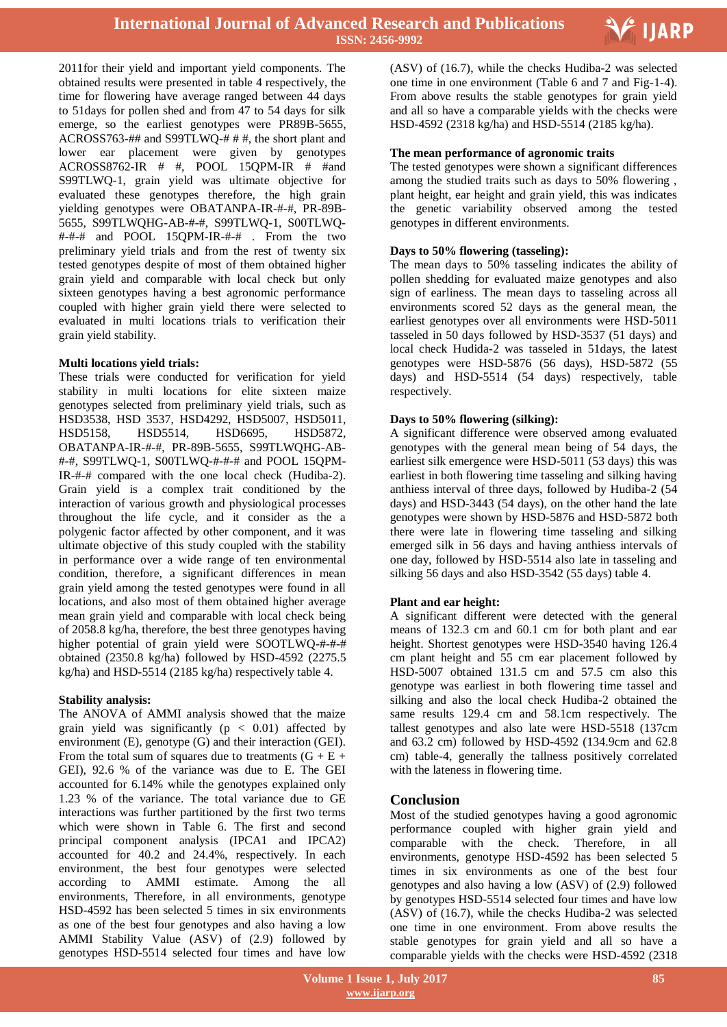

2011for their yield and important yield components. The obtained results were presented in table 4 respectively, the time for flowering have average ranged between 44 days to 51days for pollen shed and from 47 to 54 days for silk emerge, so the earliest genotypes were PR89B-5655, ACROSS763-## and S99TLWQ-# # #, the short plant and lower ear placement were given by genotypes ACROSS8762-IR # #, POOL 15QPM-IR # #and S99TLWQ-1, grain yield was ultimate objective for evaluated these genotypes therefore, the high grain yielding genotypes were OBATANPA-IR-#-#, PR-89B-5655, S99TLWQHG-AB-#-#, S99TLWQ-1, S00TLWQ- #-#-# and POOL 15QPM-IR-#-# . From the two preliminary yield trials and from the rest of twenty six tested genotypes despite of most of them obtained higher grain yield and comparable with local check but only sixteen genotypes having a best agronomic performance coupled with higher grain yield there were selected to evaluated in multi locations trials to verification their grain yield stability.

#### **Multi locations yield trials:**

These trials were conducted for verification for yield stability in multi locations for elite sixteen maize genotypes selected from preliminary yield trials, such as HSD3538, HSD 3537, HSD4292, HSD5007, HSD5011, HSD5158, HSD5514, HSD6695, HSD5872, OBATANPA-IR-#-#, PR-89B-5655, S99TLWQHG-AB- #-#, S99TLWQ-1, S00TLWQ-#-#-# and POOL 15QPM-IR-#-# compared with the one local check (Hudiba-2). Grain yield is a complex trait conditioned by the interaction of various growth and physiological processes throughout the life cycle, and it consider as the a polygenic factor affected by other component, and it was ultimate objective of this study coupled with the stability in performance over a wide range of ten environmental condition, therefore, a significant differences in mean grain yield among the tested genotypes were found in all locations, and also most of them obtained higher average mean grain yield and comparable with local check being of 2058.8 kg/ha, therefore, the best three genotypes having higher potential of grain yield were SOOTLWQ-#-#-# obtained (2350.8 kg/ha) followed by HSD-4592 (2275.5 kg/ha) and HSD-5514 (2185 kg/ha) respectively table 4.

#### **Stability analysis:**

The ANOVA of AMMI analysis showed that the maize grain yield was significantly ( $p < 0.01$ ) affected by environment (E), genotype (G) and their interaction (GEI). From the total sum of squares due to treatments  $(G + E +$ GEI), 92.6 % of the variance was due to E. The GEI accounted for 6.14% while the genotypes explained only 1.23 % of the variance. The total variance due to GE interactions was further partitioned by the first two terms which were shown in Table 6. The first and second principal component analysis (IPCA1 and IPCA2) accounted for 40.2 and 24.4%, respectively. In each environment, the best four genotypes were selected according to AMMI estimate. Among the all environments, Therefore, in all environments, genotype HSD-4592 has been selected 5 times in six environments as one of the best four genotypes and also having a low AMMI Stability Value (ASV) of (2.9) followed by genotypes HSD-5514 selected four times and have low

 (ASV) of (16.7), while the checks Hudiba-2 was selected one time in one environment (Table 6 and 7 and Fig-1-4). From above results the stable genotypes for grain yield and all so have a comparable yields with the checks were HSD-4592 (2318 kg/ha) and HSD-5514 (2185 kg/ha).

#### **The mean performance of agronomic traits**

The tested genotypes were shown a significant differences among the studied traits such as days to 50% flowering , plant height, ear height and grain yield, this was indicates the genetic variability observed among the tested genotypes in different environments.

#### **Days to 50% flowering (tasseling):**

The mean days to 50% tasseling indicates the ability of pollen shedding for evaluated maize genotypes and also sign of earliness. The mean days to tasseling across all environments scored 52 days as the general mean, the earliest genotypes over all environments were HSD-5011 tasseled in 50 days followed by HSD-3537 (51 days) and local check Hudida-2 was tasseled in 51days, the latest genotypes were HSD-5876 (56 days), HSD-5872 (55 days) and HSD-5514 (54 days) respectively, table respectively.

#### **Days to 50% flowering (silking):**

A significant difference were observed among evaluated genotypes with the general mean being of 54 days, the earliest silk emergence were HSD-5011 (53 days) this was earliest in both flowering time tasseling and silking having anthiess interval of three days, followed by Hudiba-2 (54 days) and HSD-3443 (54 days), on the other hand the late genotypes were shown by HSD-5876 and HSD-5872 both there were late in flowering time tasseling and silking emerged silk in 56 days and having anthiess intervals of one day, followed by HSD-5514 also late in tasseling and silking 56 days and also HSD-3542 (55 days) table 4.

#### **Plant and ear height:**

A significant different were detected with the general means of 132.3 cm and 60.1 cm for both plant and ear height. Shortest genotypes were HSD-3540 having 126.4 cm plant height and 55 cm ear placement followed by HSD-5007 obtained 131.5 cm and 57.5 cm also this genotype was earliest in both flowering time tassel and silking and also the local check Hudiba-2 obtained the same results 129.4 cm and 58.1cm respectively. The tallest genotypes and also late were HSD-5518 (137cm and 63.2 cm) followed by HSD-4592 (134.9cm and 62.8 cm) table-4, generally the tallness positively correlated with the lateness in flowering time.

# **Conclusion**

Most of the studied genotypes having a good agronomic performance coupled with higher grain yield and comparable with the check. Therefore, in all environments, genotype HSD-4592 has been selected 5 times in six environments as one of the best four genotypes and also having a low (ASV) of (2.9) followed by genotypes HSD-5514 selected four times and have low (ASV) of (16.7), while the checks Hudiba-2 was selected one time in one environment. From above results the stable genotypes for grain yield and all so have a comparable yields with the checks were HSD-4592 (2318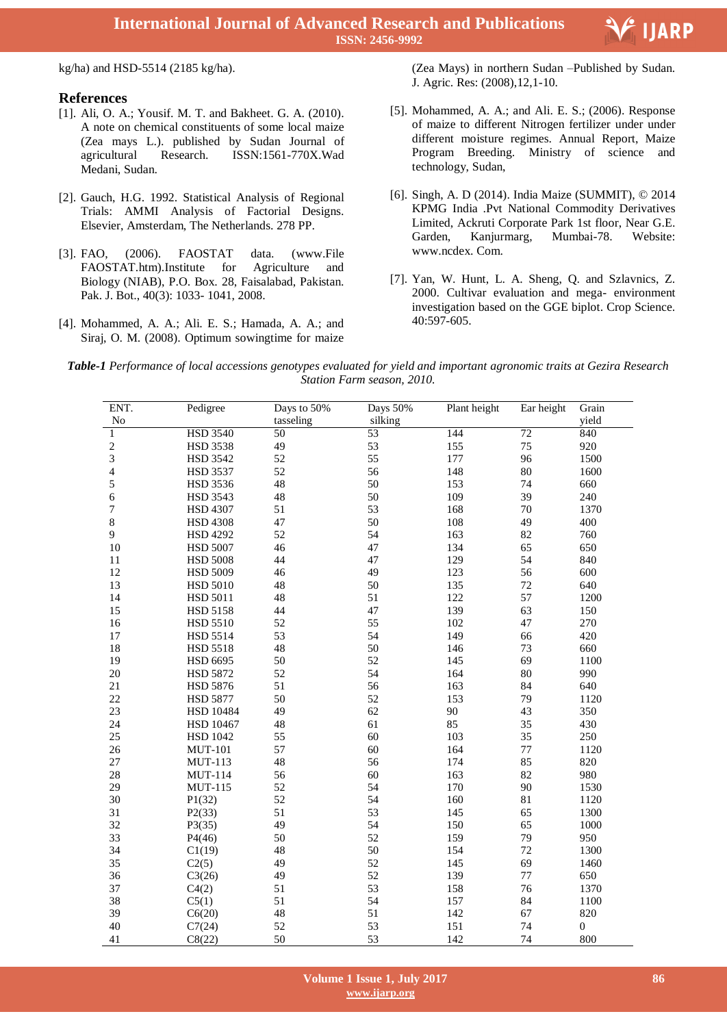**International Journal of Advanced Research and Publications ISSN: 2456-9992**

kg/ha) and HSD-5514 (2185 kg/ha).

#### **References**

- [1]. Ali, O. A.; Yousif. M. T. and Bakheet. G. A. (2010). A note on chemical constituents of some local maize (Zea mays L.). published by Sudan Journal of agricultural Research. ISSN:1561-770X.Wad Medani, Sudan.
- [2]. Gauch, H.G. 1992. Statistical Analysis of Regional Trials: AMMI Analysis of Factorial Designs. Elsevier, Amsterdam, The Netherlands. 278 PP.
- [3]. FAO, (2006). FAOSTAT data. (www.File FAOSTAT.htm).Institute for Agriculture and Biology (NIAB), P.O. Box. 28, Faisalabad, Pakistan. Pak. J. Bot., 40(3): 1033- 1041, 2008.
- [4]. Mohammed, A. A.; Ali. E. S.; Hamada, A. A.; and Siraj, O. M. (2008). Optimum sowingtime for maize

 (Zea Mays) in northern Sudan –Published by Sudan. J. Agric. Res: (2008),12,1-10.

- [5]. Mohammed, A. A.; and Ali. E. S.; (2006). Response of maize to different Nitrogen fertilizer under under different moisture regimes. Annual Report, Maize Program Breeding. Ministry of science and technology, Sudan,
- [6]. Singh, A. D (2014). India Maize (SUMMIT), © 2014 KPMG India .Pvt National Commodity Derivatives Limited, Ackruti Corporate Park 1st floor, Near G.E. Garden, Kanjurmarg, Mumbai-78. Website: www.ncdex. Com.
- [7]. Yan, W. Hunt, L. A. Sheng, Q. and Szlavnics, Z. 2000. Cultivar evaluation and mega- environment investigation based on the GGE biplot. Crop Science. 40:597-605.

*Table-1 Performance of local accessions genotypes evaluated for yield and important agronomic traits at Gezira Research Station Farm season, 2010.*

| ENT.           | Pedigree         | Days to 50% | Days 50% | Plant height | Ear height | Grain            |
|----------------|------------------|-------------|----------|--------------|------------|------------------|
| No             |                  | tasseling   | silking  |              |            | yield            |
| 1              | <b>HSD 3540</b>  | 50          | 53       | 144          | $72\,$     | 840              |
| $\sqrt{2}$     | <b>HSD 3538</b>  | 49          | 53       | 155          | 75         | 920              |
| $\mathfrak{Z}$ | <b>HSD 3542</b>  | 52          | 55       | 177          | 96         | 1500             |
| 4              | HSD 3537         | 52          | 56       | 148          | 80         | 1600             |
| 5              | HSD 3536         | 48          | 50       | 153          | 74         | 660              |
| 6              | <b>HSD 3543</b>  | 48          | 50       | 109          | 39         | 240              |
| 7              | <b>HSD 4307</b>  | 51          | 53       | 168          | 70         | 1370             |
| 8              | <b>HSD 4308</b>  | 47          | 50       | 108          | 49         | 400              |
| 9              | <b>HSD 4292</b>  | 52          | 54       | 163          | 82         | 760              |
| 10             | <b>HSD 5007</b>  | 46          | 47       | 134          | 65         | 650              |
| 11             | <b>HSD 5008</b>  | 44          | 47       | 129          | 54         | 840              |
| 12             | <b>HSD 5009</b>  | 46          | 49       | 123          | 56         | 600              |
| 13             | <b>HSD 5010</b>  | 48          | 50       | 135          | 72         | 640              |
| 14             | HSD 5011         | 48          | 51       | 122          | 57         | 1200             |
| 15             | <b>HSD 5158</b>  | 44          | 47       | 139          | 63         | 150              |
| 16             | <b>HSD 5510</b>  | 52          | 55       | 102          | 47         | 270              |
| 17             | HSD 5514         | 53          | 54       | 149          | 66         | 420              |
| 18             | <b>HSD 5518</b>  | 48          | 50       | 146          | 73         | 660              |
| 19             | <b>HSD 6695</b>  | 50          | 52       | 145          | 69         | 1100             |
| $20\,$         | HSD 5872         | 52          | 54       | 164          | 80         | 990              |
| $21\,$         | <b>HSD 5876</b>  | 51          | 56       | 163          | 84         | 640              |
| 22             | <b>HSD 5877</b>  | 50          | 52       | 153          | 79         | 1120             |
| 23             | <b>HSD 10484</b> | 49          | 62       | 90           | 43         | 350              |
| 24             | <b>HSD 10467</b> | 48          | 61       | 85           | 35         | 430              |
| 25             | <b>HSD 1042</b>  | 55          | 60       | 103          | 35         | 250              |
| 26             | <b>MUT-101</b>   | 57          | 60       | 164          | 77         | 1120             |
| 27             | <b>MUT-113</b>   | 48          | 56       | 174          | 85         | 820              |
| 28             | <b>MUT-114</b>   | 56          | 60       | 163          | 82         | 980              |
| 29             | <b>MUT-115</b>   | 52          | 54       | 170          | 90         | 1530             |
| 30             | P1(32)           | 52          | 54       | 160          | 81         | 1120             |
| 31             | P2(33)           | 51          | 53       | 145          | 65         | 1300             |
| 32             | P3(35)           | 49          | 54       | 150          | 65         | 1000             |
| 33             | P4(46)           | 50          | 52       | 159          | 79         | 950              |
| 34             | C1(19)           | 48          | 50       | 154          | 72         | 1300             |
| 35             | C2(5)            | 49          | 52       | 145          | 69         | 1460             |
| 36             | C3(26)           | 49          | 52       | 139          | 77         | 650              |
| 37             | C4(2)            | 51          | 53       | 158          | 76         | 1370             |
| 38             | C5(1)            | 51          | 54       | 157          | 84         | 1100             |
| 39             | C6(20)           | 48          | 51       | 142          | 67         | 820              |
| 40             | C7(24)           | 52          | 53       | 151          | 74         | $\boldsymbol{0}$ |
| 41             | C8(22)           | 50          | 53       | 142          | 74         | 800              |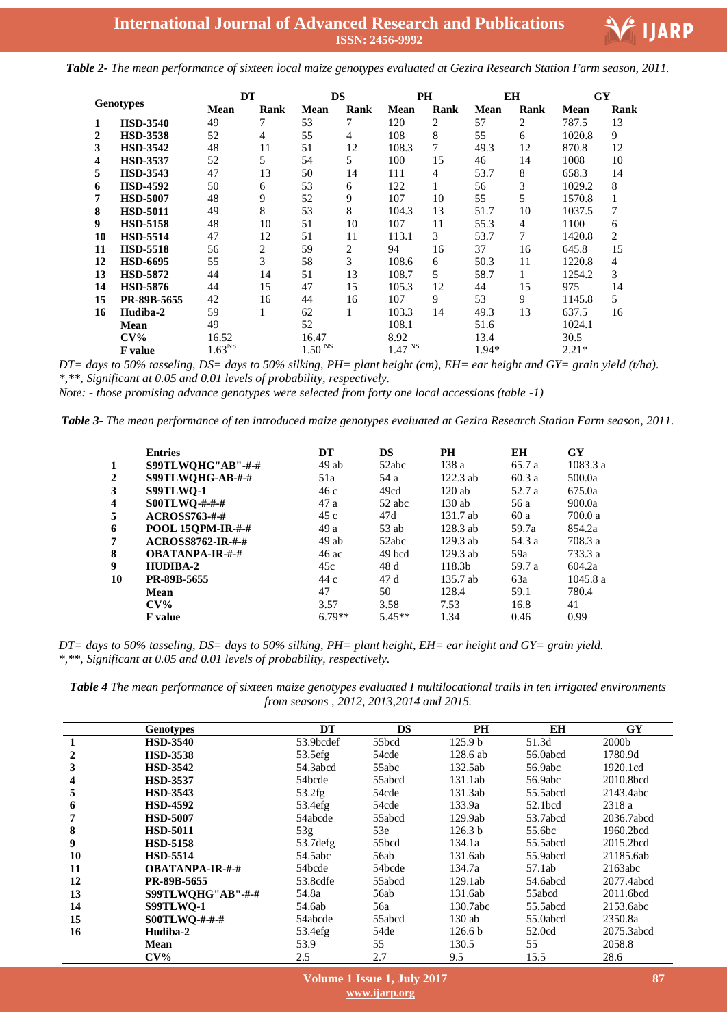

*Table 2- The mean performance of sixteen local maize genotypes evaluated at Gezira Research Station Farm season, 2011.*

| <b>Genotypes</b> |                 | <b>DT</b>   |      |                    | <b>DS</b>      |                    | <b>PH</b> |             | <b>EH</b> | GY          |      |
|------------------|-----------------|-------------|------|--------------------|----------------|--------------------|-----------|-------------|-----------|-------------|------|
|                  |                 | <b>Mean</b> | Rank | <b>Mean</b>        | Rank           | <b>Mean</b>        | Rank      | <b>Mean</b> | Rank      | <b>Mean</b> | Rank |
| 1                | <b>HSD-3540</b> | 49          | 7    | 53                 | 7              | 120                | 2         | 57          | 2         | 787.5       | 13   |
| 2                | <b>HSD-3538</b> | 52          | 4    | 55                 | $\overline{4}$ | 108                | 8         | 55          | 6         | 1020.8      | 9    |
| 3                | <b>HSD-3542</b> | 48          | 11   | 51                 | 12             | 108.3              | 7         | 49.3        | 12        | 870.8       | 12   |
| 4                | <b>HSD-3537</b> | 52          | 5    | 54                 | 5              | 100                | 15        | 46          | 14        | 1008        | 10   |
| 5                | <b>HSD-3543</b> | 47          | 13   | 50                 | 14             | 111                | 4         | 53.7        | 8         | 658.3       | 14   |
| 6                | <b>HSD-4592</b> | 50          | 6    | 53                 | 6              | 122                |           | 56          | 3         | 1029.2      | 8    |
|                  | <b>HSD-5007</b> | 48          | 9    | 52                 | 9              | 107                | 10        | 55          | 5         | 1570.8      | 1    |
| 8                | <b>HSD-5011</b> | 49          | 8    | 53                 | 8              | 104.3              | 13        | 51.7        | 10        | 1037.5      | 7    |
| 9                | <b>HSD-5158</b> | 48          | 10   | 51                 | 10             | 107                | 11        | 55.3        | 4         | 1100        | 6    |
| 10               | <b>HSD-5514</b> | 47          | 12   | 51                 | 11             | 113.1              | 3         | 53.7        |           | 1420.8      | 2    |
| 11               | <b>HSD-5518</b> | 56          | 2    | 59                 | 2              | 94                 | 16        | 37          | 16        | 645.8       | 15   |
| 12               | <b>HSD-6695</b> | 55          | 3    | 58                 | 3              | 108.6              | 6         | 50.3        | 11        | 1220.8      | 4    |
| 13               | <b>HSD-5872</b> | 44          | 14   | 51                 | 13             | 108.7              | 5         | 58.7        |           | 1254.2      | 3    |
| 14               | <b>HSD-5876</b> | 44          | 15   | 47                 | 15             | 105.3              | 12        | 44          | 15        | 975         | 14   |
| 15               | PR-89B-5655     | 42          | 16   | 44                 | 16             | 107                | 9         | 53          | 9         | 1145.8      | 5    |
| 16               | Hudiba-2        | 59          |      | 62                 | 1              | 103.3              | 14        | 49.3        | 13        | 637.5       | 16   |
|                  | <b>Mean</b>     | 49          |      | 52                 |                | 108.1              |           | 51.6        |           | 1024.1      |      |
|                  | $\rm{CV\%}$     | 16.52       |      | 16.47              |                | 8.92               |           | 13.4        |           | 30.5        |      |
|                  | F value         | $1.63^{NS}$ |      | 1.50 <sup>NS</sup> |                | $1.47$ $^{\rm NS}$ |           | 1.94*       |           | $2.21*$     |      |

*DT= days to 50% tasseling, DS= days to 50% silking, PH= plant height (cm), EH= ear height and GY= grain yield (t/ha). \*,\*\*, Significant at 0.05 and 0.01 levels of probability, respectively.*

*Note: - those promising advance genotypes were selected from forty one local accessions (table -1)* 

*Table 3- The mean performance of ten introduced maize genotypes evaluated at Gezira Research Station Farm season, 2011.*

|    | <b>Entries</b>           | DT       | <b>DS</b> | PH         | EH     | GY      |
|----|--------------------------|----------|-----------|------------|--------|---------|
|    | S99TLWQHG"AB"-#-#        | 49ab     | 52abc     | 138 a      | 65.7 a | 1083.3a |
| 2  | S99TLWQHG-AB-#-#         | 51a      | 54 a      | $122.3$ ab | 60.3a  | 500.0a  |
| 3  | <b>S99TLWO-1</b>         | 46 c     | 49cd      | $120$ ab   | 52.7 a | 675.0a  |
| 4  | S00TLWQ-#-#-#            | 47 a     | 52 abc    | $130$ ab   | 56 a   | 900.0a  |
| 5  | $ACROSS763-##$           | 45 c     | 47d       | 131.7 ab   | 60 a   | 700.0 a |
| 6  | POOL 15QPM-IR-#-#        | 49 a     | 53 ab     | $128.3$ ab | 59.7a  | 854.2a  |
| 7  | <b>ACROSS8762-IR-#-#</b> | 49ab     | 52abc     | $129.3$ ab | 54.3 a | 708.3 a |
| 8  | <b>OBATANPA-IR-#-#</b>   | 46 ac    | 49 bcd    | $129.3$ ab | 59a    | 733.3 a |
| 9  | HUDIBA-2                 | 45c      | 48 d      | 118.3b     | 59.7 a | 604.2a  |
| 10 | PR-89B-5655              | 44 c     | 47 d      | 135.7 ab   | 63a    | 1045.8a |
|    | Mean                     | 47       | 50        | 128.4      | 59.1   | 780.4   |
|    | $CV\%$                   | 3.57     | 3.58      | 7.53       | 16.8   | 41      |
|    | <b>F</b> value           | $6.79**$ | $5.45**$  | 1.34       | 0.46   | 0.99    |

*DT= days to 50% tasseling, DS= days to 50% silking, PH= plant height, EH= ear height and GY= grain yield. \*,\*\*, Significant at 0.05 and 0.01 levels of probability, respectively.*

*Table 4 The mean performance of sixteen maize genotypes evaluated I multilocational trails in ten irrigated environments from seasons , 2012, 2013,2014 and 2015.*

|    | <b>Genotypes</b>       | DT        | <b>DS</b> | <b>PH</b>          | <b>EH</b> | GY         |
|----|------------------------|-----------|-----------|--------------------|-----------|------------|
|    | <b>HSD-3540</b>        | 53.9bcdef | 55bcd     | 125.9 <sub>b</sub> | 51.3d     | 2000b      |
| 2  | <b>HSD-3538</b>        | 53.5efg   | 54cde     | 128.6 ab           | 56.0abcd  | 1780.9d    |
| 3  | <b>HSD-3542</b>        | 54.3abcd  | 55abc     | 132.5ab            | 56.9abc   | 1920.1cd   |
| 4  | <b>HSD-3537</b>        | 54bcde    | 55abcd    | 131.1ab            | 56.9abc   | 2010.8bcd  |
| 5  | <b>HSD-3543</b>        | 53.2fg    | 54cde     | 131.3ab            | 55.5abcd  | 2143.4abc  |
| 6  | <b>HSD-4592</b>        | 53.4efg   | 54cde     | 133.9a             | 52.1bcd   | 2318 a     |
| 7  | <b>HSD-5007</b>        | 54abcde   | 55abcd    | 129.9ab            | 53.7abcd  | 2036.7abcd |
| 8  | <b>HSD-5011</b>        | 53g       | 53e       | 126.3 b            | 55.6bc    | 1960.2bcd  |
| 9  | <b>HSD-5158</b>        | 53.7 defg | 55bcd     | 134.1a             | 55.5abcd  | 2015.2bcd  |
| 10 | <b>HSD-5514</b>        | 54.5abc   | 56ab      | 131.6ab            | 55.9abcd  | 21185.6ab  |
| 11 | <b>OBATANPA-IR-#-#</b> | 54bcde    | 54bcde    | 134.7a             | 57.1ab    | 2163abc    |
| 12 | PR-89B-5655            | 53.8cdfe  | 55abcd    | 129.1ab            | 54.6abcd  | 2077.4abcd |
| 13 | S99TLWQHG"AB"-#-#      | 54.8a     | 56ab      | 131.6ab            | 55abcd    | 2011.6bcd  |
| 14 | S99TLWO-1              | 54.6ab    | 56a       | 130.7abc           | 55.5abcd  | 2153.6abc  |
| 15 | $SOOTLWO-####$         | 54abcde   | 55abcd    | $130$ ab           | 55.0abcd  | 2350.8a    |
| 16 | Hudiba-2               | 53.4efg   | 54de      | 126.6 <sub>b</sub> | 52.0cd    | 2075.3abcd |
|    | <b>Mean</b>            | 53.9      | 55        | 130.5              | 55        | 2058.8     |
|    | $CV\%$                 | 2.5       | 2.7       | 9.5                | 15.5      | 28.6       |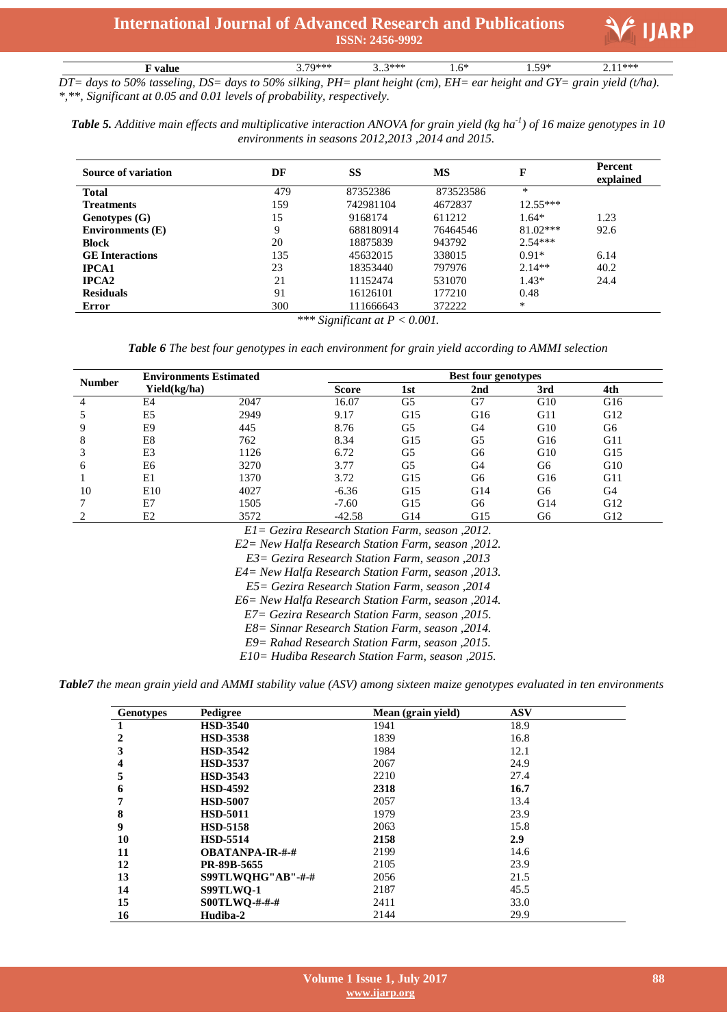

 $2.11***$ **F value**  $3.79***$   $3.3***$   $1.6*$   $1.59*$   $2.11***$ *DT= days to 50% tasseling, DS= days to 50% silking, PH= plant height (cm), EH= ear height and GY= grain yield (t/ha). \*,\*\*, Significant at 0.05 and 0.01 levels of probability, respectively.*

*Table 5. Additive main effects and multiplicative interaction ANOVA for grain yield (kg ha-1 ) of 16 maize genotypes in 10 environments in seasons 2012,2013 ,2014 and 2015.*

| <b>Source of variation</b> | DF                      | <b>SS</b>                                                                                                                                                                                                                                                                                                                                                                | <b>MS</b> | F          | Percent<br>explained |
|----------------------------|-------------------------|--------------------------------------------------------------------------------------------------------------------------------------------------------------------------------------------------------------------------------------------------------------------------------------------------------------------------------------------------------------------------|-----------|------------|----------------------|
| <b>Total</b>               | 479                     | 87352386                                                                                                                                                                                                                                                                                                                                                                 | 873523586 | *          |                      |
| <b>Treatments</b>          | 159                     | 742981104                                                                                                                                                                                                                                                                                                                                                                | 4672837   | $12.55***$ |                      |
| Genotypes (G)              | 15                      | 9168174                                                                                                                                                                                                                                                                                                                                                                  | 611212    | $1.64*$    | 1.23                 |
| <b>Environments</b> (E)    | 9                       | 688180914                                                                                                                                                                                                                                                                                                                                                                | 76464546  | $81.02***$ | 92.6                 |
| <b>Block</b>               | 20                      | 18875839                                                                                                                                                                                                                                                                                                                                                                 | 943792    | $2.54***$  |                      |
| <b>GE</b> Interactions     | 135                     | 45632015                                                                                                                                                                                                                                                                                                                                                                 | 338015    | $0.91*$    | 6.14                 |
| <b>IPCA1</b>               | 23                      | 18353440                                                                                                                                                                                                                                                                                                                                                                 | 797976    | $2.14**$   | 40.2                 |
| <b>IPCA2</b>               | 21                      | 11152474                                                                                                                                                                                                                                                                                                                                                                 | 531070    | $1.43*$    | 24.4                 |
| <b>Residuals</b>           | 91                      | 16126101                                                                                                                                                                                                                                                                                                                                                                 | 177210    | 0.48       |                      |
| Error                      | 300<br><b>ان بادیان</b> | 111666643<br>$\mathcal{C}$ $\mathcal{D}$ $\mathcal{D}$ $\mathcal{D}$ $\mathcal{D}$ $\mathcal{D}$ $\mathcal{D}$ $\mathcal{D}$ $\mathcal{D}$ $\mathcal{D}$ $\mathcal{D}$ $\mathcal{D}$ $\mathcal{D}$ $\mathcal{D}$ $\mathcal{D}$ $\mathcal{D}$ $\mathcal{D}$ $\mathcal{D}$ $\mathcal{D}$ $\mathcal{D}$ $\mathcal{D}$ $\mathcal{D}$ $\mathcal{D}$ $\mathcal{D}$ $\mathcal{$ | 372222    | *          |                      |

*\*\*\* Significant at P < 0.001.*

*Table 6 The best four genotypes in each environment for grain yield according to AMMI selection*

| <b>Number</b> | <b>Environments Estimated</b> |      | <b>Best four genotypes</b> |     |                 |     |     |  |
|---------------|-------------------------------|------|----------------------------|-----|-----------------|-----|-----|--|
|               | Yield(kg/ha)                  |      | <b>Score</b>               | 1st | 2 <sub>nd</sub> | 3rd | 4th |  |
|               | E <sub>4</sub>                | 2047 | 16.07                      | G5  | G7              | G10 | G16 |  |
|               | E <sub>5</sub>                | 2949 | 9.17                       | G15 | G16             | G11 | G12 |  |
| Q             | E9                            | 445  | 8.76                       | G5  | G4              | G10 | G6  |  |
| 8             | E8                            | 762  | 8.34                       | G15 | G5              | G16 | G11 |  |
| 3             | E3                            | 1126 | 6.72                       | G5  | G6              | G10 | G15 |  |
| 6             | E <sub>6</sub>                | 3270 | 3.77                       | G5  | G <sub>4</sub>  | G6  | G10 |  |
|               | E1                            | 1370 | 3.72                       | G15 | G6              | G16 | G11 |  |
| 10            | E10                           | 4027 | $-6.36$                    | G15 | G14             | G6  | G4  |  |
|               | E7                            | 1505 | $-7.60$                    | G15 | G6              | G14 | G12 |  |
|               | E2                            | 3572 | $-42.58$                   | G14 | G15             | G6  | G12 |  |

*E1= Gezira Research Station Farm, season ,2012.*

*E2= New Halfa Research Station Farm, season ,2012.*

*E3= Gezira Research Station Farm, season ,2013*

*E4= New Halfa Research Station Farm, season ,2013.*

*E5= Gezira Research Station Farm, season ,2014*

*E6= New Halfa Research Station Farm, season ,2014.*

*E7= Gezira Research Station Farm, season ,2015.*

*E8= Sinnar Research Station Farm, season ,2014.*

*E9= Rahad Research Station Farm, season ,2015.*

*E10= Hudiba Research Station Farm, season ,2015.*

*Table7 the mean grain yield and AMMI stability value (ASV) among sixteen maize genotypes evaluated in ten environments*

| <b>Genotypes</b> | Pedigree               | Mean (grain yield) | <b>ASV</b> |
|------------------|------------------------|--------------------|------------|
|                  | <b>HSD-3540</b>        | 1941               | 18.9       |
| 2                | <b>HSD-3538</b>        | 1839               | 16.8       |
| 3                | <b>HSD-3542</b>        | 1984               | 12.1       |
|                  | <b>HSD-3537</b>        | 2067               | 24.9       |
| 5                | <b>HSD-3543</b>        | 2210               | 27.4       |
| 6                | <b>HSD-4592</b>        | 2318               | 16.7       |
| 7                | <b>HSD-5007</b>        | 2057               | 13.4       |
| 8                | <b>HSD-5011</b>        | 1979               | 23.9       |
| 9                | <b>HSD-5158</b>        | 2063               | 15.8       |
| 10               | <b>HSD-5514</b>        | 2158               | 2.9        |
| 11               | <b>OBATANPA-IR-#-#</b> | 2199               | 14.6       |
| 12               | PR-89B-5655            | 2105               | 23.9       |
| 13               | S99TLWOHG"AB"-#-#      | 2056               | 21.5       |
| 14               | S99TLWO-1              | 2187               | 45.5       |
| 15               | S00TLWQ-#-#-#          | 2411               | 33.0       |
| 16               | Hudiba-2               | 2144               | 29.9       |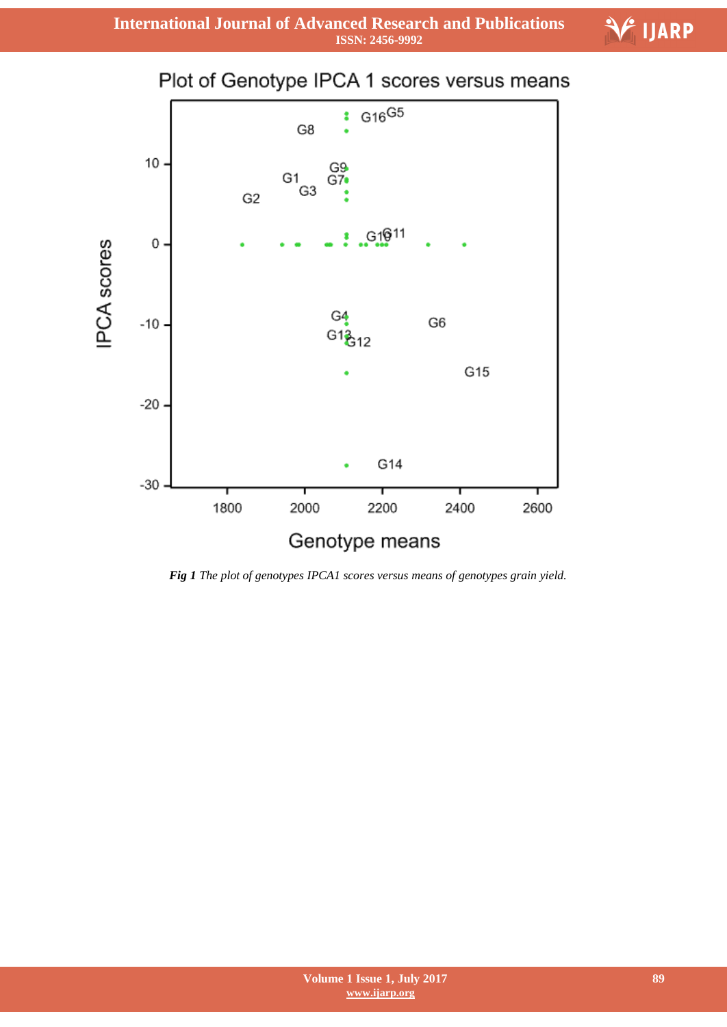**International Journal of Advanced Research and Publications ISSN: 2456-9992**



*Fig 1 The plot of genotypes IPCA1 scores versus means of genotypes grain yield.*

 $\hat{\mathcal{F}}$  ijarp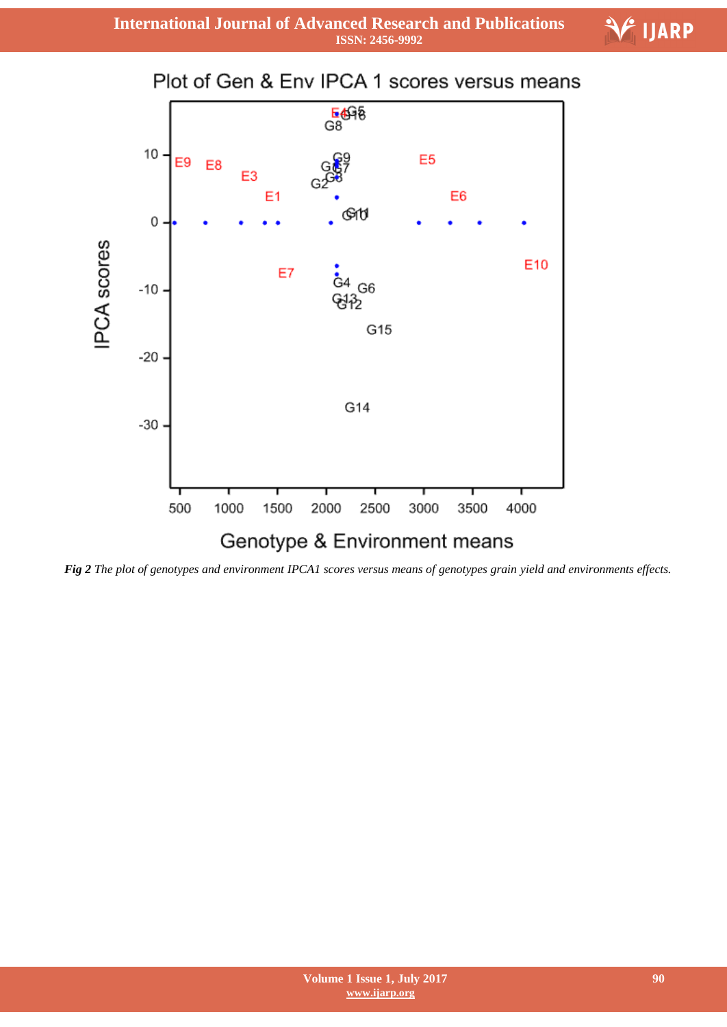



*Fig 2 The plot of genotypes and environment IPCA1 scores versus means of genotypes grain yield and environments effects.*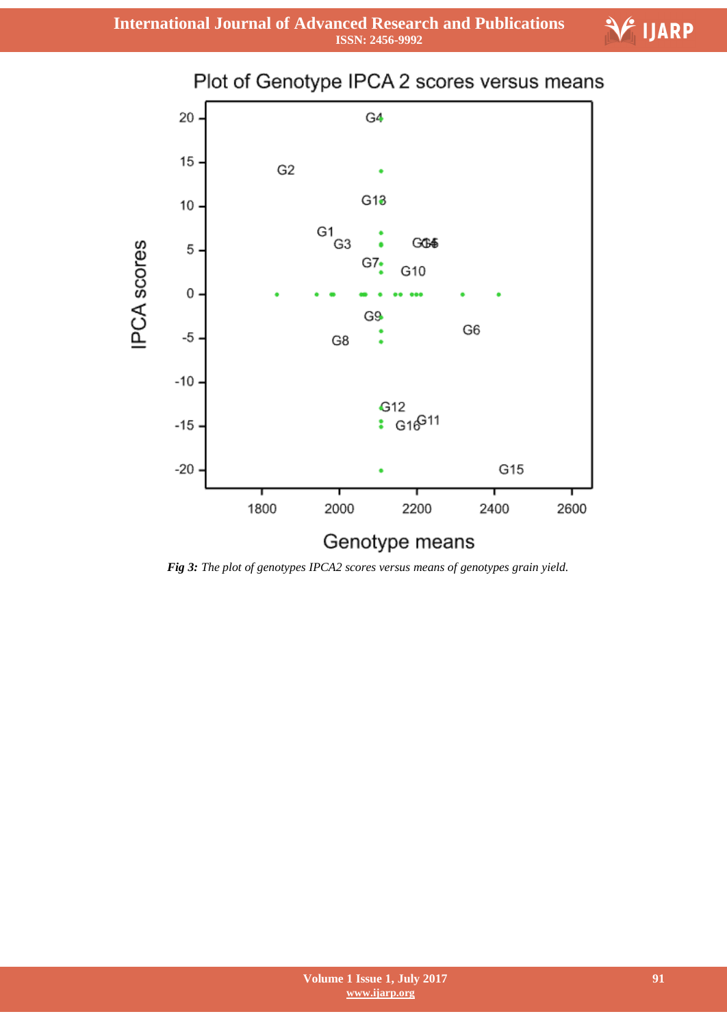# Plot of Genotype IPCA 2 scores versus means 20 G4 15 G<sub>2</sub>  $G13$ 10  $G1$ <sub>G3</sub> **IPCA** scores GG4 5  $G7$ G10 0 G9 G<sub>6</sub>  $-5$ G8  $-10$ G12  $\frac{1}{16}$  G<sub>16</sub>G<sub>11</sub>  $-15$  $-20$ G15 1800 2000 2200 2400 2600 Genotype means

*Fig 3: The plot of genotypes IPCA2 scores versus means of genotypes grain yield.*

E<sup>1</sup> IJARP